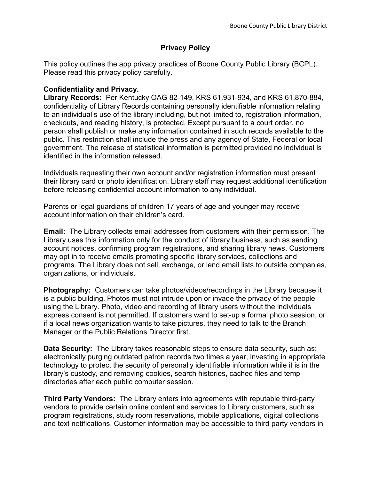## **Privacy Policy**

This policy outlines the app privacy practices of Boone County Public Library (BCPL). Please read this privacy policy carefully.

## **Confidentiality and Privacy.**

**Library Records:** Per Kentucky OAG 82-149, KRS 61.931-934, and KRS 61.870-884, confidentiality of Library Records containing personally identifiable information relating to an individual's use of the library including, but not limited to, registration information, checkouts, and reading history, is protected. Except pursuant to a court order, no person shall publish or make any information contained in such records available to the public. This restriction shall include the press and any agency of State, Federal or local government. The release of statistical information is permitted provided no individual is identified in the information released.

Individuals requesting their own account and/or registration information must present their library card or photo identification. Library staff may request additional identification before releasing confidential account information to any individual.

Parents or legal guardians of children 17 years of age and younger may receive account information on their children's card.

**Email:** The Library collects email addresses from customers with their permission. The Library uses this information only for the conduct of library business, such as sending account notices, confirming program registrations, and sharing library news. Customers may opt in to receive emails promoting specific library services, collections and programs. The Library does not sell, exchange, or lend email lists to outside companies, organizations, or individuals.

**Photography:** Customers can take photos/videos/recordings in the Library because it is a public building. Photos must not intrude upon or invade the privacy of the people using the Library. Photo, video and recording of library users without the individuals express consent is not permitted. If customers want to set-up a formal photo session, or if a local news organization wants to take pictures, they need to talk to the Branch Manager or the Public Relations Director first.

**Data Security:** The Library takes reasonable steps to ensure data security, such as: electronically purging outdated patron records two times a year, investing in appropriate technology to protect the security of personally identifiable information while it is in the library's custody, and removing cookies, search histories, cached files and temp directories after each public computer session.

**Third Party Vendors:** The Library enters into agreements with reputable third-party vendors to provide certain online content and services to Library customers, such as program registrations, study room reservations, mobile applications, digital collections and text notifications. Customer information may be accessible to third party vendors in